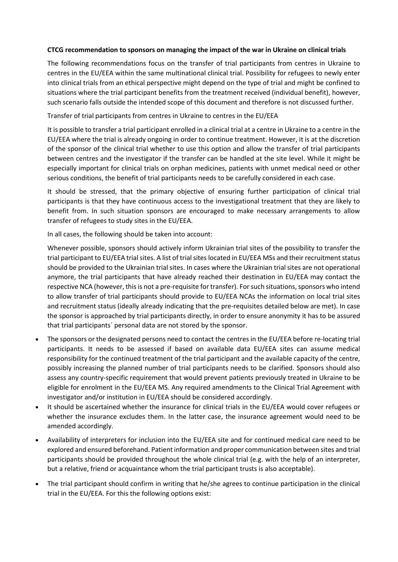## **CTCG recommendation to sponsors on managing the impact of the war in Ukraine on clinical trials**

The following recommendations focus on the transfer of trial participants from centres in Ukraine to centres in the EU/EEA within the same multinational clinical trial. Possibility for refugees to newly enter into clinical trials from an ethical perspective might depend on the type of trial and might be confined to situations where the trial participant benefits from the treatment received (individual benefit), however, such scenario falls outside the intended scope of this document and therefore is not discussed further.

Transfer of trial participants from centres in Ukraine to centres in the EU/EEA

It is possible to transfer a trial participant enrolled in a clinical trial at a centre in Ukraine to a centre in the EU/EEA where the trial is already ongoing in order to continue treatment. However, it is at the discretion of the sponsor of the clinical trial whether to use this option and allow the transfer of trial participants between centres and the investigator if the transfer can be handled at the site level. While it might be especially important for clinical trials on orphan medicines, patients with unmet medical need or other serious conditions, the benefit of trial participants needs to be carefully considered in each case.

It should be stressed, that the primary objective of ensuring further participation of clinical trial participants is that they have continuous access to the investigational treatment that they are likely to benefit from. In such situation sponsors are encouraged to make necessary arrangements to allow transfer of refugees to study sites in the EU/EEA.

In all cases, the following should be taken into account:

Whenever possible, sponsors should actively inform Ukrainian trial sites of the possibility to transfer the trial participant to EU/EEA trial sites. A list of trial sites located in EU/EEA MSs and their recruitment status should be provided to the Ukrainian trial sites. In cases where the Ukrainian trial sites are not operational anymore, the trial participants that have already reached their destination in EU/EEA may contact the respective NCA (however, this is not a pre-requisite for transfer). For such situations, sponsors who intend to allow transfer of trial participants should provide to EU/EEA NCAs the information on local trial sites and recruitment status (ideally already indicating that the pre-requisites detailed below are met). In case the sponsor is approached by trial participants directly, in order to ensure anonymity it has to be assured that trial participants´ personal data are not stored by the sponsor.

- The sponsors or the designated persons need to contact the centres in the EU/EEA before re-locating trial participants. It needs to be assessed if based on available data EU/EEA sites can assume medical responsibility for the continued treatment of the trial participant and the available capacity of the centre, possibly increasing the planned number of trial participants needs to be clarified. Sponsors should also assess any country-specific requirement that would prevent patients previously treated in Ukraine to be eligible for enrolment in the EU/EEA MS. Any required amendments to the Clinical Trial Agreement with investigator and/or institution in EU/EEA should be considered accordingly.
- It should be ascertained whether the insurance for clinical trials in the EU/EEA would cover refugees or whether the insurance excludes them. In the latter case, the insurance agreement would need to be amended accordingly.
- Availability of interpreters for inclusion into the EU/EEA site and for continued medical care need to be explored and ensured beforehand. Patient information and proper communication between sites and trial participants should be provided throughout the whole clinical trial (e.g. with the help of an interpreter, but a relative, friend or acquaintance whom the trial participant trusts is also acceptable).
- The trial participant should confirm in writing that he/she agrees to continue participation in the clinical trial in the EU/EEA. For this the following options exist: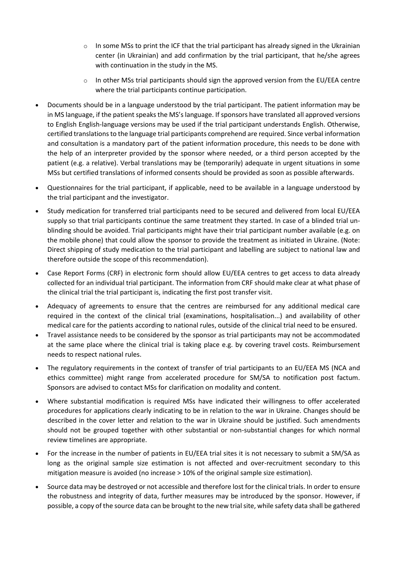- $\circ$  In some MSs to print the ICF that the trial participant has already signed in the Ukrainian center (in Ukrainian) and add confirmation by the trial participant, that he/she agrees with continuation in the study in the MS.
- $\circ$  In other MSs trial participants should sign the approved version from the EU/EEA centre where the trial participants continue participation.
- Documents should be in a language understood by the trial participant. The patient information may be in MS language, if the patient speaks the MS's language. If sponsors have translated all approved versions to English English-language versions may be used if the trial participant understands English. Otherwise, certified translations to the language trial participants comprehend are required. Since verbal information and consultation is a mandatory part of the patient information procedure, this needs to be done with the help of an interpreter provided by the sponsor where needed, or a third person accepted by the patient (e.g. a relative). Verbal translations may be (temporarily) adequate in urgent situations in some MSs but certified translations of informed consents should be provided as soon as possible afterwards.
- Questionnaires for the trial participant, if applicable, need to be available in a language understood by the trial participant and the investigator.
- Study medication for transferred trial participants need to be secured and delivered from local EU/EEA supply so that trial participants continue the same treatment they started. In case of a blinded trial unblinding should be avoided. Trial participants might have their trial participant number available (e.g. on the mobile phone) that could allow the sponsor to provide the treatment as initiated in Ukraine. (Note: Direct shipping of study medication to the trial participant and labelling are subject to national law and therefore outside the scope of this recommendation).
- Case Report Forms (CRF) in electronic form should allow EU/EEA centres to get access to data already collected for an individual trial participant. The information from CRF should make clear at what phase of the clinical trial the trial participant is, indicating the first post transfer visit.
- Adequacy of agreements to ensure that the centres are reimbursed for any additional medical care required in the context of the clinical trial (examinations, hospitalisation...) and availability of other medical care for the patients according to national rules, outside of the clinical trial need to be ensured.
- Travel assistance needs to be considered by the sponsor as trial participants may not be accommodated at the same place where the clinical trial is taking place e.g. by covering travel costs. Reimbursement needs to respect national rules.
- The regulatory requirements in the context of transfer of trial participants to an EU/EEA MS (NCA and ethics committee) might range from accelerated procedure for SM/SA to notification post factum. Sponsors are advised to contact MSs for clarification on modality and content.
- Where substantial modification is required MSs have indicated their willingness to offer accelerated procedures for applications clearly indicating to be in relation to the war in Ukraine. Changes should be described in the cover letter and relation to the war in Ukraine should be justified. Such amendments should not be grouped together with other substantial or non-substantial changes for which normal review timelines are appropriate.
- For the increase in the number of patients in EU/EEA trial sites it is not necessary to submit a SM/SA as long as the original sample size estimation is not affected and over-recruitment secondary to this mitigation measure is avoided (no increase > 10% of the original sample size estimation).
- Source data may be destroyed or not accessible and therefore lost for the clinical trials. In order to ensure the robustness and integrity of data, further measures may be introduced by the sponsor. However, if possible, a copy of the source data can be brought to the new trial site, while safety data shall be gathered